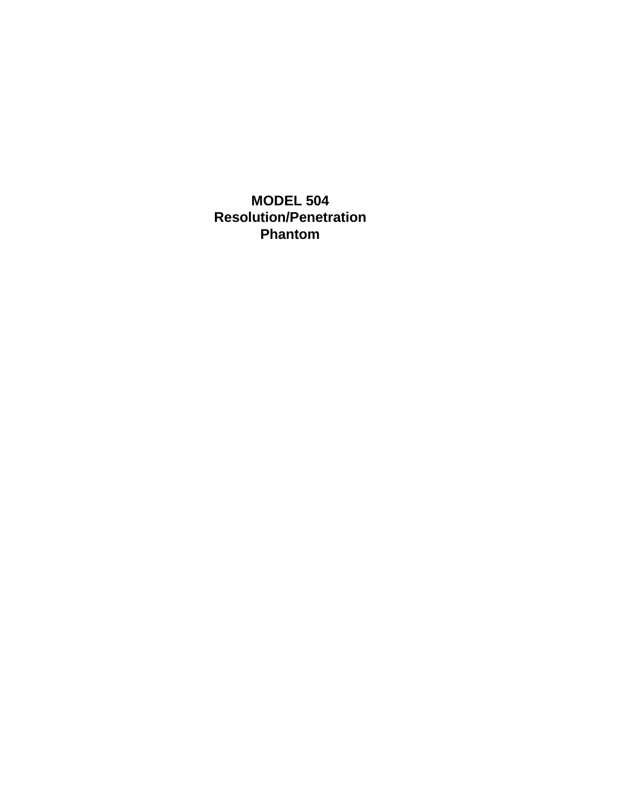**MODEL 504 Resolution/Penetration Phantom**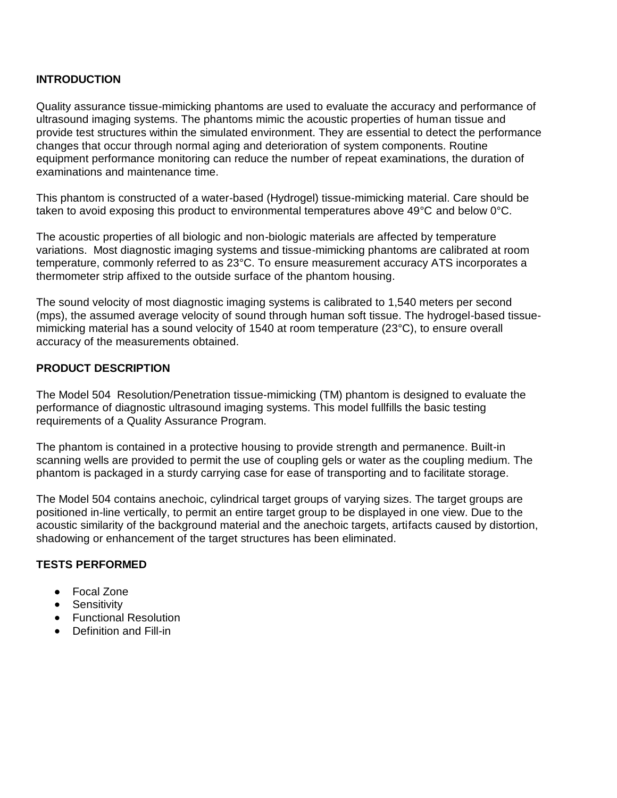#### **INTRODUCTION**

Quality assurance tissue-mimicking phantoms are used to evaluate the accuracy and performance of ultrasound imaging systems. The phantoms mimic the acoustic properties of human tissue and provide test structures within the simulated environment. They are essential to detect the performance changes that occur through normal aging and deterioration of system components. Routine equipment performance monitoring can reduce the number of repeat examinations, the duration of examinations and maintenance time.

This phantom is constructed of a water-based (Hydrogel) tissue-mimicking material. Care should be taken to avoid exposing this product to environmental temperatures above 49°C and below 0°C.

The acoustic properties of all biologic and non-biologic materials are affected by temperature variations. Most diagnostic imaging systems and tissue-mimicking phantoms are calibrated at room temperature, commonly referred to as 23°C. To ensure measurement accuracy ATS incorporates a thermometer strip affixed to the outside surface of the phantom housing.

The sound velocity of most diagnostic imaging systems is calibrated to 1,540 meters per second (mps), the assumed average velocity of sound through human soft tissue. The hydrogel-based tissuemimicking material has a sound velocity of 1540 at room temperature (23°C), to ensure overall accuracy of the measurements obtained.

#### **PRODUCT DESCRIPTION**

The Model 504 Resolution/Penetration tissue-mimicking (TM) phantom is designed to evaluate the performance of diagnostic ultrasound imaging systems. This model fullfills the basic testing requirements of a Quality Assurance Program.

The phantom is contained in a protective housing to provide strength and permanence. Built-in scanning wells are provided to permit the use of coupling gels or water as the coupling medium. The phantom is packaged in a sturdy carrying case for ease of transporting and to facilitate storage.

The Model 504 contains anechoic, cylindrical target groups of varying sizes. The target groups are positioned in-line vertically, to permit an entire target group to be displayed in one view. Due to the acoustic similarity of the background material and the anechoic targets, artifacts caused by distortion, shadowing or enhancement of the target structures has been eliminated.

#### **TESTS PERFORMED**

- Focal Zone
- **•** Sensitivity
- **•** Functional Resolution
- Definition and Fill-in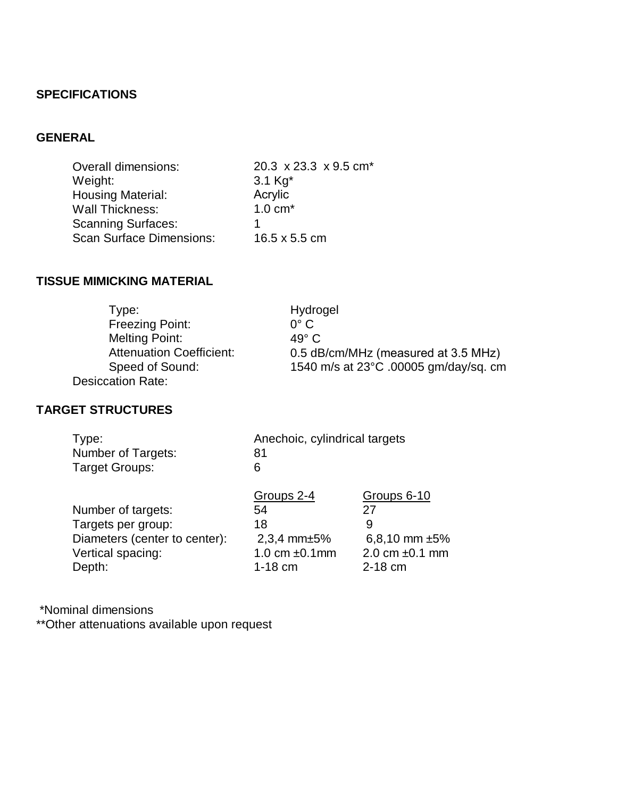### **SPECIFICATIONS**

# **GENERAL**

| <b>Overall dimensions:</b>      | 20.3 x 23.3 x 9.5 cm <sup>*</sup> |
|---------------------------------|-----------------------------------|
| Weight:                         | 3.1 $Kg^*$                        |
| <b>Housing Material:</b>        | Acrylic                           |
| <b>Wall Thickness:</b>          | $1.0 \text{ cm}^*$                |
| <b>Scanning Surfaces:</b>       |                                   |
| <b>Scan Surface Dimensions:</b> | 16.5 x 5.5 cm                     |

# **TISSUE MIMICKING MATERIAL**

| Type:                           | Hydrogel                              |
|---------------------------------|---------------------------------------|
| Freezing Point:                 | $0^{\circ}$ C                         |
| <b>Melting Point:</b>           | $49^\circ$ C                          |
| <b>Attenuation Coefficient:</b> | 0.5 dB/cm/MHz (measured at 3.5 MHz)   |
| Speed of Sound:                 | 1540 m/s at 23°C .00005 gm/day/sg. cm |
| Desiccation Rate:               |                                       |

# **TARGET STRUCTURES**

| Type:                         | Anechoic, cylindrical targets |                     |
|-------------------------------|-------------------------------|---------------------|
| <b>Number of Targets:</b>     | 81                            |                     |
| <b>Target Groups:</b>         | 6                             |                     |
|                               | Groups 2-4                    | Groups 6-10         |
| Number of targets:            | 54                            | 27                  |
| Targets per group:            | 18                            | 9                   |
| Diameters (center to center): | $2,3,4$ mm $\pm 5\%$          | 6,8,10 mm $\pm 5\%$ |
| Vertical spacing:             | 1.0 cm $\pm$ 0.1 mm           | 2.0 cm $\pm$ 0.1 mm |
| Depth:                        | $1-18$ cm                     | $2-18$ cm           |

\*Nominal dimensions

\*\*Other attenuations available upon request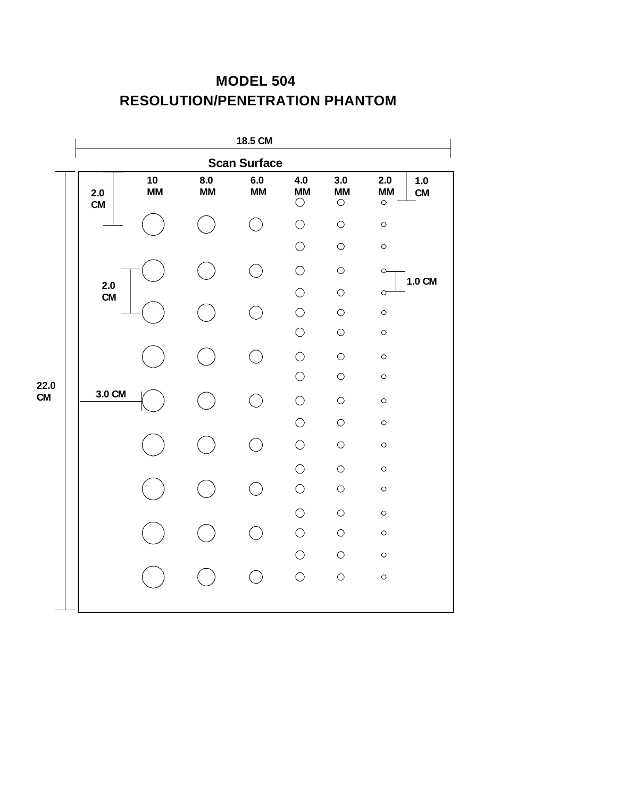# **MODEL 504 RESOLUTION/PENETRATION PHANTOM**



**CM**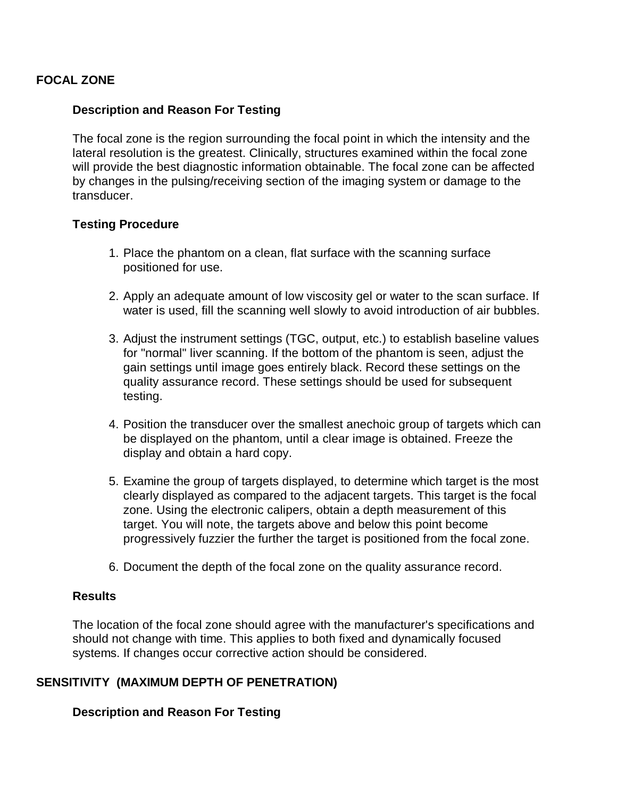### **FOCAL ZONE**

### **Description and Reason For Testing**

The focal zone is the region surrounding the focal point in which the intensity and the lateral resolution is the greatest. Clinically, structures examined within the focal zone will provide the best diagnostic information obtainable. The focal zone can be affected by changes in the pulsing/receiving section of the imaging system or damage to the transducer.

#### **Testing Procedure**

- 1. Place the phantom on a clean, flat surface with the scanning surface positioned for use.
- 2. Apply an adequate amount of low viscosity gel or water to the scan surface. If water is used, fill the scanning well slowly to avoid introduction of air bubbles.
- 3. Adjust the instrument settings (TGC, output, etc.) to establish baseline values for "normal" liver scanning. If the bottom of the phantom is seen, adjust the gain settings until image goes entirely black. Record these settings on the quality assurance record. These settings should be used for subsequent testing.
- 4. Position the transducer over the smallest anechoic group of targets which can be displayed on the phantom, until a clear image is obtained. Freeze the display and obtain a hard copy.
- 5. Examine the group of targets displayed, to determine which target is the most clearly displayed as compared to the adjacent targets. This target is the focal zone. Using the electronic calipers, obtain a depth measurement of this target. You will note, the targets above and below this point become progressively fuzzier the further the target is positioned from the focal zone.
- 6. Document the depth of the focal zone on the quality assurance record.

#### **Results**

The location of the focal zone should agree with the manufacturer's specifications and should not change with time. This applies to both fixed and dynamically focused systems. If changes occur corrective action should be considered.

#### **SENSITIVITY (MAXIMUM DEPTH OF PENETRATION)**

**Description and Reason For Testing**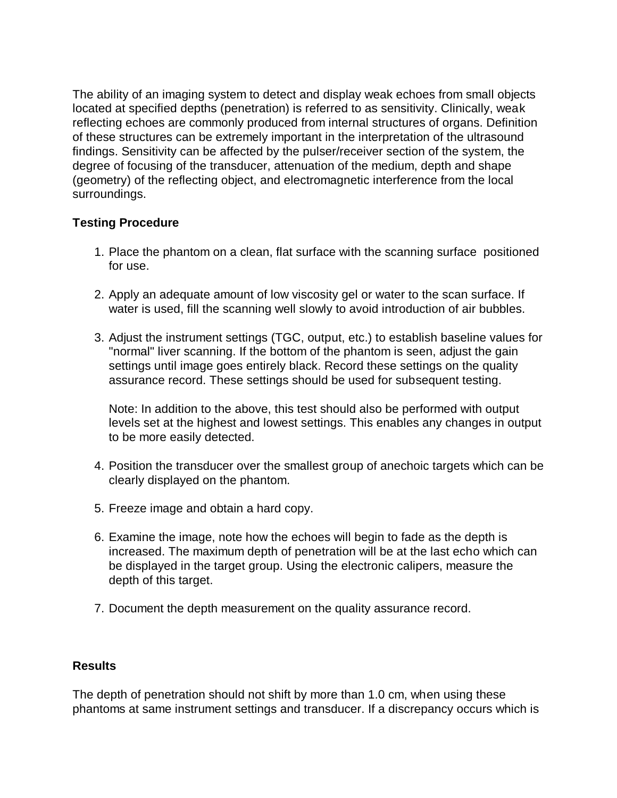The ability of an imaging system to detect and display weak echoes from small objects located at specified depths (penetration) is referred to as sensitivity. Clinically, weak reflecting echoes are commonly produced from internal structures of organs. Definition of these structures can be extremely important in the interpretation of the ultrasound findings. Sensitivity can be affected by the pulser/receiver section of the system, the degree of focusing of the transducer, attenuation of the medium, depth and shape (geometry) of the reflecting object, and electromagnetic interference from the local surroundings.

## **Testing Procedure**

- 1. Place the phantom on a clean, flat surface with the scanning surface positioned for use.
- 2. Apply an adequate amount of low viscosity gel or water to the scan surface. If water is used, fill the scanning well slowly to avoid introduction of air bubbles.
- 3. Adjust the instrument settings (TGC, output, etc.) to establish baseline values for "normal" liver scanning. If the bottom of the phantom is seen, adjust the gain settings until image goes entirely black. Record these settings on the quality assurance record. These settings should be used for subsequent testing.

Note: In addition to the above, this test should also be performed with output levels set at the highest and lowest settings. This enables any changes in output to be more easily detected.

- 4. Position the transducer over the smallest group of anechoic targets which can be clearly displayed on the phantom.
- 5. Freeze image and obtain a hard copy.
- 6. Examine the image, note how the echoes will begin to fade as the depth is increased. The maximum depth of penetration will be at the last echo which can be displayed in the target group. Using the electronic calipers, measure the depth of this target.
- 7. Document the depth measurement on the quality assurance record.

### **Results**

The depth of penetration should not shift by more than 1.0 cm, when using these phantoms at same instrument settings and transducer. If a discrepancy occurs which is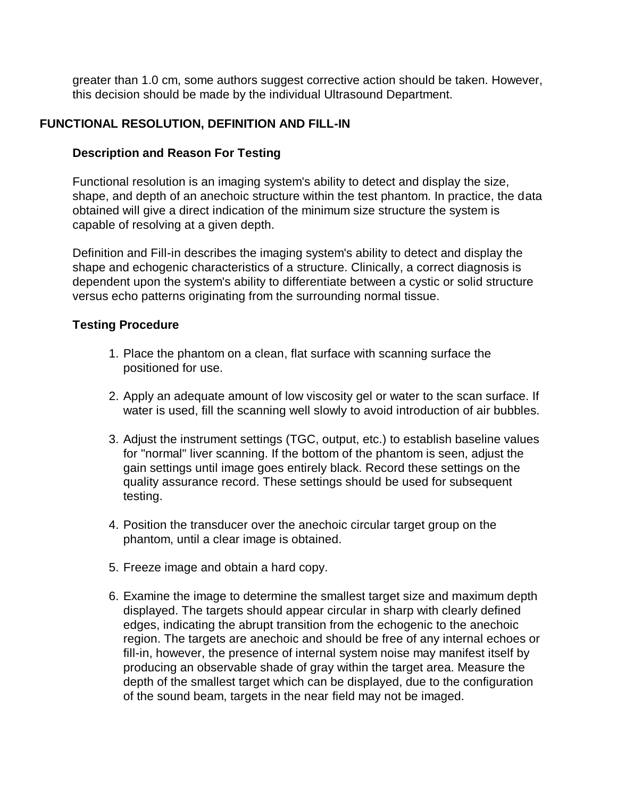greater than 1.0 cm, some authors suggest corrective action should be taken. However, this decision should be made by the individual Ultrasound Department.

### **FUNCTIONAL RESOLUTION, DEFINITION AND FILL-IN**

### **Description and Reason For Testing**

Functional resolution is an imaging system's ability to detect and display the size, shape, and depth of an anechoic structure within the test phantom. In practice, the data obtained will give a direct indication of the minimum size structure the system is capable of resolving at a given depth.

Definition and Fill-in describes the imaging system's ability to detect and display the shape and echogenic characteristics of a structure. Clinically, a correct diagnosis is dependent upon the system's ability to differentiate between a cystic or solid structure versus echo patterns originating from the surrounding normal tissue.

### **Testing Procedure**

- 1. Place the phantom on a clean, flat surface with scanning surface the positioned for use.
- 2. Apply an adequate amount of low viscosity gel or water to the scan surface. If water is used, fill the scanning well slowly to avoid introduction of air bubbles.
- 3. Adjust the instrument settings (TGC, output, etc.) to establish baseline values for "normal" liver scanning. If the bottom of the phantom is seen, adjust the gain settings until image goes entirely black. Record these settings on the quality assurance record. These settings should be used for subsequent testing.
- 4. Position the transducer over the anechoic circular target group on the phantom, until a clear image is obtained.
- 5. Freeze image and obtain a hard copy.
- 6. Examine the image to determine the smallest target size and maximum depth displayed. The targets should appear circular in sharp with clearly defined edges, indicating the abrupt transition from the echogenic to the anechoic region. The targets are anechoic and should be free of any internal echoes or fill-in, however, the presence of internal system noise may manifest itself by producing an observable shade of gray within the target area. Measure the depth of the smallest target which can be displayed, due to the configuration of the sound beam, targets in the near field may not be imaged.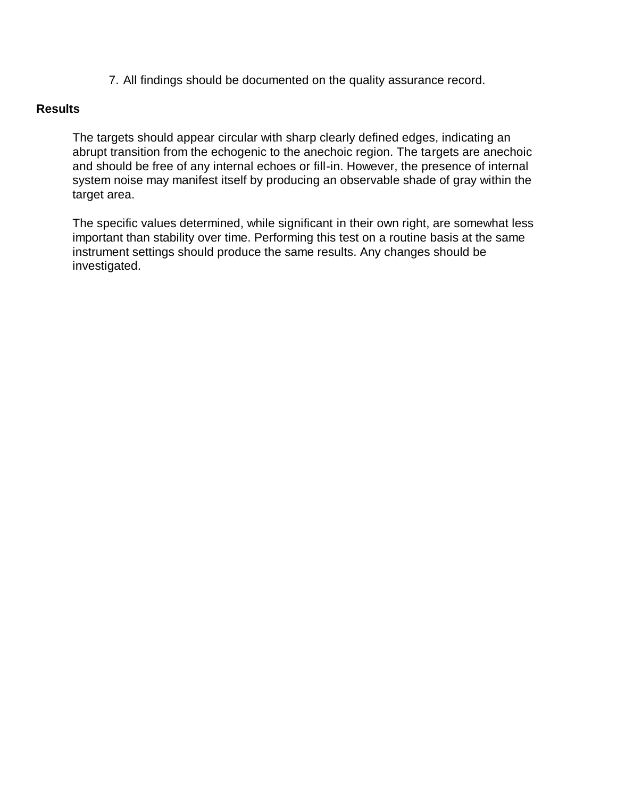7. All findings should be documented on the quality assurance record.

### **Results**

The targets should appear circular with sharp clearly defined edges, indicating an abrupt transition from the echogenic to the anechoic region. The targets are anechoic and should be free of any internal echoes or fill-in. However, the presence of internal system noise may manifest itself by producing an observable shade of gray within the target area.

The specific values determined, while significant in their own right, are somewhat less important than stability over time. Performing this test on a routine basis at the same instrument settings should produce the same results. Any changes should be investigated.